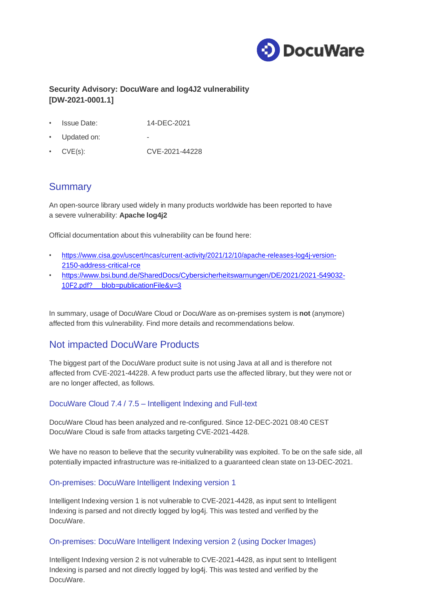

## **Security Advisory: DocuWare and log4J2 vulnerability [DW-2021-0001.1]**

- Issue Date: 14-DEC-2021
- Updated on:
- CVE(s): CVE-2021-44228

## **Summary**

An open-source library used widely in many products worldwide has been reported to have a severe vulnerability: **Apache log4j2**

Official documentation about this vulnerability can be found here:

- [https://www.cisa.gov/uscert/ncas/current-activity/2021/12/10/apache-releases-log4j-version-](https://www.cisa.gov/uscert/ncas/current-activity/2021/12/10/apache-releases-log4j-version-2150-address-critical-rce)[2150-address-critical-rce](https://www.cisa.gov/uscert/ncas/current-activity/2021/12/10/apache-releases-log4j-version-2150-address-critical-rce)
- [https://www.bsi.bund.de/SharedDocs/Cybersicherheitswarnungen/DE/2021/2021-549032-](https://www.bsi.bund.de/SharedDocs/Cybersicherheitswarnungen/DE/2021/2021-549032-10F2.pdf?__blob=publicationFile&v=3) [10F2.pdf?](https://www.bsi.bund.de/SharedDocs/Cybersicherheitswarnungen/DE/2021/2021-549032-10F2.pdf?__blob=publicationFile&v=3) [blob=publicationFile&v=3](https://www.bsi.bund.de/SharedDocs/Cybersicherheitswarnungen/DE/2021/2021-549032-10F2.pdf?__blob=publicationFile&v=3)

In summary, usage of DocuWare Cloud or DocuWare as on-premises system is **not** (anymore) affected from this vulnerability. Find more details and recommendations below.

# Not impacted DocuWare Products

The biggest part of the DocuWare product suite is not using Java at all and is therefore not affected from CVE-2021-44228. A few product parts use the affected library, but they were not or are no longer affected, as follows.

### DocuWare Cloud 7.4 / 7.5 – Intelligent Indexing and Full-text

DocuWare Cloud has been analyzed and re-configured. Since 12-DEC-2021 08:40 CEST DocuWare Cloud is safe from attacks targeting CVE-2021-4428.

We have no reason to believe that the security vulnerability was exploited. To be on the safe side, all potentially impacted infrastructure was re-initialized to a guaranteed clean state on 13-DEC-2021.

#### On-premises: DocuWare Intelligent Indexing version 1

Intelligent Indexing version 1 is not vulnerable to CVE-2021-4428, as input sent to Intelligent Indexing is parsed and not directly logged by log4j. This was tested and verified by the DocuWare.

#### On-premises: DocuWare Intelligent Indexing version 2 (using Docker Images)

Intelligent Indexing version 2 is not vulnerable to CVE-2021-4428, as input sent to Intelligent Indexing is parsed and not directly logged by log4j. This was tested and verified by the DocuWare.